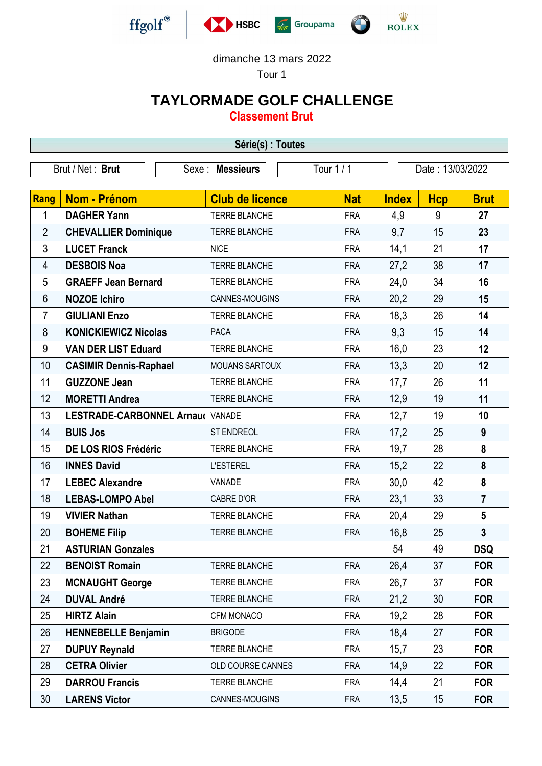



Tour 1

## **TAYLORMADE GOLF CHALLENGE**

**Classement Brut**

| Série(s) : Toutes |                                                                       |                        |            |              |            |                         |  |
|-------------------|-----------------------------------------------------------------------|------------------------|------------|--------------|------------|-------------------------|--|
|                   | Tour 1 / 1<br>Brut / Net: Brut<br>Sexe: Messieurs<br>Date: 13/03/2022 |                        |            |              |            |                         |  |
|                   |                                                                       |                        |            |              |            |                         |  |
| Rang              | <b>Nom - Prénom</b>                                                   | <b>Club de licence</b> | <b>Nat</b> | <b>Index</b> | <b>Hcp</b> | <b>Brut</b>             |  |
| 1                 | <b>DAGHER Yann</b>                                                    | <b>TERRE BLANCHE</b>   | <b>FRA</b> | 4,9          | 9          | 27                      |  |
| $\overline{2}$    | <b>CHEVALLIER Dominique</b>                                           | TERRE BLANCHE          | <b>FRA</b> | 9,7          | 15         | 23                      |  |
| 3                 | <b>LUCET Franck</b>                                                   | <b>NICE</b>            | <b>FRA</b> | 14,1         | 21         | 17                      |  |
| 4                 | <b>DESBOIS Noa</b>                                                    | <b>TERRE BLANCHE</b>   | <b>FRA</b> | 27,2         | 38         | 17                      |  |
| 5                 | <b>GRAEFF Jean Bernard</b>                                            | <b>TERRE BLANCHE</b>   | <b>FRA</b> | 24,0         | 34         | 16                      |  |
| 6                 | <b>NOZOE Ichiro</b>                                                   | CANNES-MOUGINS         | <b>FRA</b> | 20,2         | 29         | 15                      |  |
| $\overline{7}$    | <b>GIULIANI Enzo</b>                                                  | <b>TERRE BLANCHE</b>   | <b>FRA</b> | 18,3         | 26         | 14                      |  |
| 8                 | <b>KONICKIEWICZ Nicolas</b>                                           | <b>PACA</b>            | <b>FRA</b> | 9,3          | 15         | 14                      |  |
| 9                 | <b>VAN DER LIST Eduard</b>                                            | <b>TERRE BLANCHE</b>   | <b>FRA</b> | 16,0         | 23         | 12                      |  |
| 10                | <b>CASIMIR Dennis-Raphael</b>                                         | <b>MOUANS SARTOUX</b>  | <b>FRA</b> | 13,3         | 20         | 12                      |  |
| 11                | <b>GUZZONE Jean</b>                                                   | TERRE BLANCHE          | <b>FRA</b> | 17,7         | 26         | 11                      |  |
| 12                | <b>MORETTI Andrea</b>                                                 | TERRE BLANCHE          | <b>FRA</b> | 12,9         | 19         | 11                      |  |
| 13                | LESTRADE-CARBONNEL Arnau( VANADE                                      |                        | <b>FRA</b> | 12,7         | 19         | 10                      |  |
| 14                | <b>BUIS Jos</b>                                                       | <b>ST ENDREOL</b>      | <b>FRA</b> | 17,2         | 25         | 9                       |  |
| 15                | DE LOS RIOS Frédéric                                                  | <b>TERRE BLANCHE</b>   | <b>FRA</b> | 19,7         | 28         | 8                       |  |
| 16                | <b>INNES David</b>                                                    | <b>L'ESTEREL</b>       | <b>FRA</b> | 15,2         | 22         | 8                       |  |
| 17                | <b>LEBEC Alexandre</b>                                                | VANADE                 | <b>FRA</b> | 30,0         | 42         | 8                       |  |
| 18                | <b>LEBAS-LOMPO Abel</b>                                               | <b>CABRE D'OR</b>      | <b>FRA</b> | 23,1         | 33         | $\overline{7}$          |  |
| 19                | <b>VIVIER Nathan</b>                                                  | <b>TERRE BLANCHE</b>   | <b>FRA</b> | 20,4         | 29         | $\overline{\mathbf{5}}$ |  |
| 20                | <b>BOHEME Filip</b>                                                   | <b>TERRE BLANCHE</b>   | <b>FRA</b> | 16,8         | 25         | $\mathbf{3}$            |  |
| 21                | <b>ASTURIAN Gonzales</b>                                              |                        |            | 54           | 49         | <b>DSQ</b>              |  |
| 22                | <b>BENOIST Romain</b>                                                 | TERRE BLANCHE          | <b>FRA</b> | 26,4         | 37         | <b>FOR</b>              |  |
| 23                | <b>MCNAUGHT George</b>                                                | <b>TERRE BLANCHE</b>   | <b>FRA</b> | 26,7         | 37         | <b>FOR</b>              |  |
| 24                | <b>DUVAL André</b>                                                    | <b>TERRE BLANCHE</b>   | <b>FRA</b> | 21,2         | 30         | <b>FOR</b>              |  |
| 25                | <b>HIRTZ Alain</b>                                                    | CFM MONACO             | <b>FRA</b> | 19,2         | 28         | <b>FOR</b>              |  |
| 26                | <b>HENNEBELLE Benjamin</b>                                            | <b>BRIGODE</b>         | <b>FRA</b> | 18,4         | 27         | <b>FOR</b>              |  |
| 27                | <b>DUPUY Reynald</b>                                                  | TERRE BLANCHE          | <b>FRA</b> | 15,7         | 23         | <b>FOR</b>              |  |
| 28                | <b>CETRA Olivier</b>                                                  | OLD COURSE CANNES      | <b>FRA</b> | 14,9         | 22         | <b>FOR</b>              |  |
| 29                | <b>DARROU Francis</b>                                                 | TERRE BLANCHE          | <b>FRA</b> | 14,4         | 21         | <b>FOR</b>              |  |
| 30                | <b>LARENS Victor</b>                                                  | CANNES-MOUGINS         | <b>FRA</b> | 13,5         | 15         | <b>FOR</b>              |  |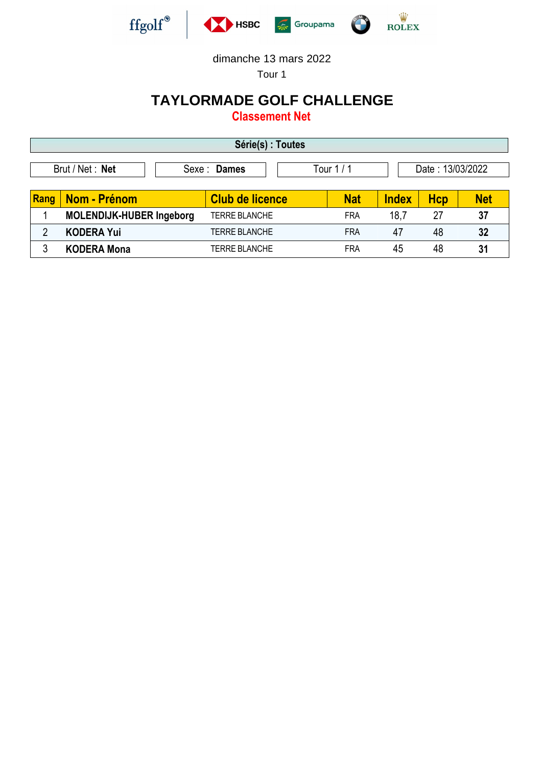

Tour 1

## **TAYLORMADE GOLF CHALLENGE**

**Classement Net**

| Série(s) : Toutes                                               |                                 |                        |            |              |            |            |  |
|-----------------------------------------------------------------|---------------------------------|------------------------|------------|--------------|------------|------------|--|
| Brut / Net : Net<br>Date: 13/03/2022<br>Sexe: Dames<br>Tour 1/1 |                                 |                        |            |              |            |            |  |
| Rang                                                            | Nom - Prénom                    | <b>Club de licence</b> | <b>Nat</b> | <b>Index</b> | <b>Hcp</b> | <b>Net</b> |  |
|                                                                 | <b>MOLENDIJK-HUBER Ingeborg</b> | TERRE BLANCHE          | <b>FRA</b> | 18,7         | 27         | 37         |  |
| $\overline{2}$                                                  | <b>KODERA Yui</b>               | <b>TERRE BLANCHE</b>   | <b>FRA</b> | 47           | 48         | 32         |  |
|                                                                 | <b>KODERA Mona</b>              | TERRE BLANCHE          | <b>FRA</b> | 45           | 48         | 31         |  |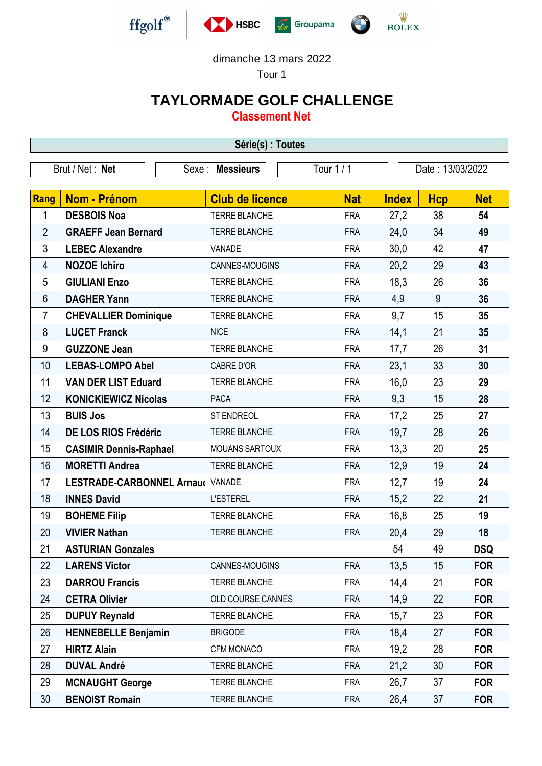

Tour 1

## **TAYLORMADE GOLF CHALLENGE**

**Classement Net**

| Série(s) : Toutes |                                  |                        |            |              |                  |            |  |
|-------------------|----------------------------------|------------------------|------------|--------------|------------------|------------|--|
|                   | Brut / Net: Net                  | Sexe : Messieurs       | Tour 1 / 1 |              | Date: 13/03/2022 |            |  |
|                   |                                  |                        |            |              |                  |            |  |
| Rang              | <b>Nom - Prénom</b>              | <b>Club de licence</b> | <b>Nat</b> | <b>Index</b> | <b>Hcp</b>       | <b>Net</b> |  |
| 1                 | <b>DESBOIS Noa</b>               | TERRE BLANCHE          | <b>FRA</b> | 27,2         | 38               | 54         |  |
| $\overline{2}$    | <b>GRAEFF Jean Bernard</b>       | TERRE BLANCHE          | <b>FRA</b> | 24,0         | 34               | 49         |  |
| 3                 | <b>LEBEC Alexandre</b>           | VANADE                 | <b>FRA</b> | 30,0         | 42               | 47         |  |
| 4                 | <b>NOZOE Ichiro</b>              | CANNES-MOUGINS         | <b>FRA</b> | 20,2         | 29               | 43         |  |
| 5                 | <b>GIULIANI Enzo</b>             | TERRE BLANCHE          | <b>FRA</b> | 18,3         | 26               | 36         |  |
| 6                 | <b>DAGHER Yann</b>               | <b>TERRE BLANCHE</b>   | <b>FRA</b> | 4,9          | 9                | 36         |  |
| 7                 | <b>CHEVALLIER Dominique</b>      | TERRE BLANCHE          | <b>FRA</b> | 9,7          | 15               | 35         |  |
| 8                 | <b>LUCET Franck</b>              | <b>NICE</b>            | <b>FRA</b> | 14,1         | 21               | 35         |  |
| $9\,$             | <b>GUZZONE Jean</b>              | TERRE BLANCHE          | <b>FRA</b> | 17,7         | 26               | 31         |  |
| 10                | <b>LEBAS-LOMPO Abel</b>          | CABRE D'OR             | <b>FRA</b> | 23,1         | 33               | 30         |  |
| 11                | <b>VAN DER LIST Eduard</b>       | TERRE BLANCHE          | <b>FRA</b> | 16,0         | 23               | 29         |  |
| 12                | <b>KONICKIEWICZ Nicolas</b>      | <b>PACA</b>            | <b>FRA</b> | 9,3          | 15               | 28         |  |
| 13                | <b>BUIS Jos</b>                  | ST ENDREOL             | <b>FRA</b> | 17,2         | 25               | 27         |  |
| 14                | DE LOS RIOS Frédéric             | TERRE BLANCHE          | <b>FRA</b> | 19,7         | 28               | 26         |  |
| 15                | <b>CASIMIR Dennis-Raphael</b>    | <b>MOUANS SARTOUX</b>  | <b>FRA</b> | 13,3         | 20               | 25         |  |
| 16                | <b>MORETTI Andrea</b>            | <b>TERRE BLANCHE</b>   | <b>FRA</b> | 12,9         | 19               | 24         |  |
| 17                | LESTRADE-CARBONNEL Arnau( VANADE |                        | <b>FRA</b> | 12,7         | 19               | 24         |  |
| 18                | <b>INNES David</b>               | <b>L'ESTEREL</b>       | <b>FRA</b> | 15,2         | 22               | 21         |  |
| 19                | <b>BOHEME Filip</b>              | TERRE BLANCHE          | <b>FRA</b> | 16,8         | 25               | 19         |  |
| 20                | <b>VIVIER Nathan</b>             | TERRE BLANCHE          | <b>FRA</b> | 20,4         | 29               | 18         |  |
| 21                | <b>ASTURIAN Gonzales</b>         |                        |            | 54           | 49               | <b>DSQ</b> |  |
| 22                | <b>LARENS Victor</b>             | CANNES-MOUGINS         | <b>FRA</b> | 13,5         | 15               | <b>FOR</b> |  |
| 23                | <b>DARROU Francis</b>            | TERRE BLANCHE          | <b>FRA</b> | 14,4         | 21               | <b>FOR</b> |  |
| 24                | <b>CETRA Olivier</b>             | OLD COURSE CANNES      | <b>FRA</b> | 14,9         | 22               | <b>FOR</b> |  |
| 25                | <b>DUPUY Reynald</b>             | <b>TERRE BLANCHE</b>   | <b>FRA</b> | 15,7         | 23               | <b>FOR</b> |  |
| 26                | <b>HENNEBELLE Benjamin</b>       | <b>BRIGODE</b>         | <b>FRA</b> | 18,4         | 27               | <b>FOR</b> |  |
| 27                | <b>HIRTZ Alain</b>               | CFM MONACO             | <b>FRA</b> | 19,2         | 28               | <b>FOR</b> |  |
| 28                | <b>DUVAL André</b>               | TERRE BLANCHE          | <b>FRA</b> | 21,2         | 30               | <b>FOR</b> |  |
| 29                | <b>MCNAUGHT George</b>           | TERRE BLANCHE          | <b>FRA</b> | 26,7         | 37               | <b>FOR</b> |  |
| 30                | <b>BENOIST Romain</b>            | <b>TERRE BLANCHE</b>   | <b>FRA</b> | 26,4         | 37               | <b>FOR</b> |  |